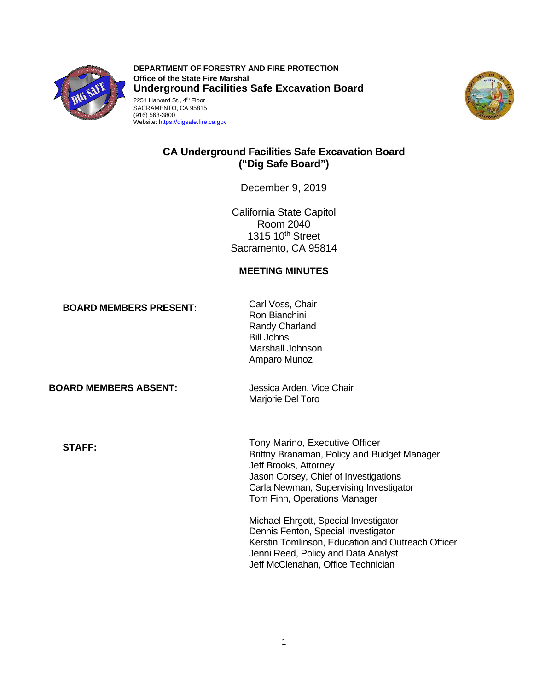

**DEPARTMENT OF FORESTRY AND FIRE PROTECTION Office of the State Fire Marshal Underground Facilities Safe Excavation Board** 2251 Harvard St., 4<sup>th</sup> Floor SACRAMENTO, CA 95815 (916) 568-3800





# **CA Underground Facilities Safe Excavation Board ("Dig Safe Board")**

December 9, 2019

California State Capitol Room 2040 1315 10<sup>th</sup> Street Sacramento, CA 95814

# **MEETING MINUTES**

**BOARD MEMBERS PRESENT:** Carl Voss, Chair

Ron Bianchini Randy Charland Bill Johns Marshall Johnson Amparo Munoz

**BOARD MEMBERS ABSENT:** Jessica Arden, Vice Chair

Marjorie Del Toro

**STAFF:** Tony Marino, Executive Officer Brittny Branaman, Policy and Budget Manager Jeff Brooks, Attorney Jason Corsey, Chief of Investigations Carla Newman, Supervising Investigator Tom Finn, Operations Manager

> Michael Ehrgott, Special Investigator Dennis Fenton, Special Investigator Kerstin Tomlinson, Education and Outreach Officer Jenni Reed, Policy and Data Analyst Jeff McClenahan, Office Technician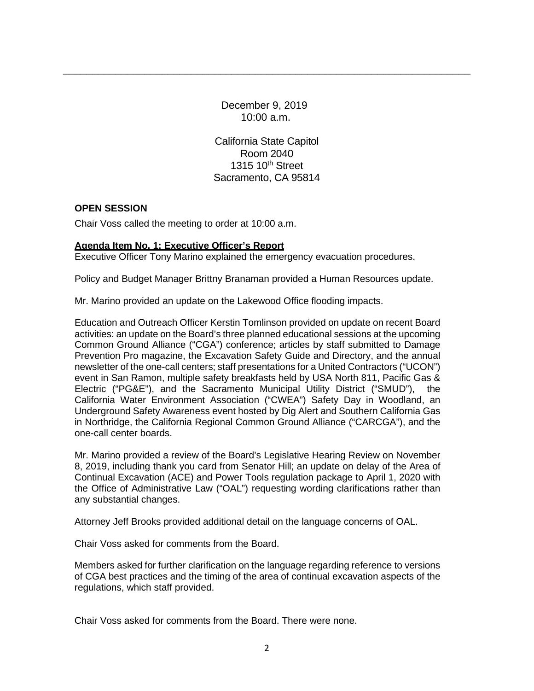December 9, 2019 10:00 a.m.

\_\_\_\_\_\_\_\_\_\_\_\_\_\_\_\_\_\_\_\_\_\_\_\_\_\_\_\_\_\_\_\_\_\_\_\_\_\_\_\_\_\_\_\_\_\_\_\_\_\_\_\_\_\_\_\_\_\_\_\_\_\_\_\_\_\_\_\_\_\_

California State Capitol Room 2040 1315 10<sup>th</sup> Street Sacramento, CA 95814

### **OPEN SESSION**

Chair Voss called the meeting to order at 10:00 a.m.

### **Agenda Item No. 1: Executive Officer's Report**

Executive Officer Tony Marino explained the emergency evacuation procedures.

Policy and Budget Manager Brittny Branaman provided a Human Resources update.

Mr. Marino provided an update on the Lakewood Office flooding impacts.

Education and Outreach Officer Kerstin Tomlinson provided on update on recent Board activities: an update on the Board's three planned educational sessions at the upcoming Common Ground Alliance ("CGA") conference; articles by staff submitted to Damage Prevention Pro magazine, the Excavation Safety Guide and Directory, and the annual newsletter of the one-call centers; staff presentations for a United Contractors ("UCON") event in San Ramon, multiple safety breakfasts held by USA North 811, Pacific Gas & Electric ("PG&E"), and the Sacramento Municipal Utility District ("SMUD"), the California Water Environment Association ("CWEA") Safety Day in Woodland, an Underground Safety Awareness event hosted by Dig Alert and Southern California Gas in Northridge, the California Regional Common Ground Alliance ("CARCGA"), and the one-call center boards.

Mr. Marino provided a review of the Board's Legislative Hearing Review on November 8, 2019, including thank you card from Senator Hill; an update on delay of the Area of Continual Excavation (ACE) and Power Tools regulation package to April 1, 2020 with the Office of Administrative Law ("OAL") requesting wording clarifications rather than any substantial changes.

Attorney Jeff Brooks provided additional detail on the language concerns of OAL.

Chair Voss asked for comments from the Board.

Members asked for further clarification on the language regarding reference to versions of CGA best practices and the timing of the area of continual excavation aspects of the regulations, which staff provided.

Chair Voss asked for comments from the Board. There were none.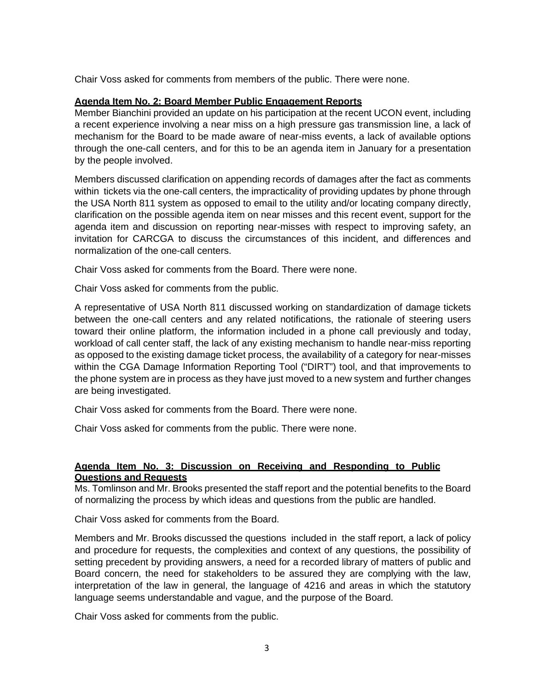Chair Voss asked for comments from members of the public. There were none.

### **Agenda Item No. 2: Board Member Public Engagement Reports**

Member Bianchini provided an update on his participation at the recent UCON event, including a recent experience involving a near miss on a high pressure gas transmission line, a lack of mechanism for the Board to be made aware of near-miss events, a lack of available options through the one-call centers, and for this to be an agenda item in January for a presentation by the people involved.

Members discussed clarification on appending records of damages after the fact as comments within tickets via the one-call centers, the impracticality of providing updates by phone through the USA North 811 system as opposed to email to the utility and/or locating company directly, clarification on the possible agenda item on near misses and this recent event, support for the agenda item and discussion on reporting near-misses with respect to improving safety, an invitation for CARCGA to discuss the circumstances of this incident, and differences and normalization of the one-call centers.

Chair Voss asked for comments from the Board. There were none.

Chair Voss asked for comments from the public.

A representative of USA North 811 discussed working on standardization of damage tickets between the one-call centers and any related notifications, the rationale of steering users toward their online platform, the information included in a phone call previously and today, workload of call center staff, the lack of any existing mechanism to handle near-miss reporting as opposed to the existing damage ticket process, the availability of a category for near-misses within the CGA Damage Information Reporting Tool ("DIRT") tool, and that improvements to the phone system are in process as they have just moved to a new system and further changes are being investigated.

Chair Voss asked for comments from the Board. There were none.

Chair Voss asked for comments from the public. There were none.

# **Agenda Item No. 3: Discussion on Receiving and Responding to Public Questions and Requests**

Ms. Tomlinson and Mr. Brooks presented the staff report and the potential benefits to the Board of normalizing the process by which ideas and questions from the public are handled.

Chair Voss asked for comments from the Board.

Members and Mr. Brooks discussed the questions included in the staff report, a lack of policy and procedure for requests, the complexities and context of any questions, the possibility of setting precedent by providing answers, a need for a recorded library of matters of public and Board concern, the need for stakeholders to be assured they are complying with the law, interpretation of the law in general, the language of 4216 and areas in which the statutory language seems understandable and vague, and the purpose of the Board.

Chair Voss asked for comments from the public.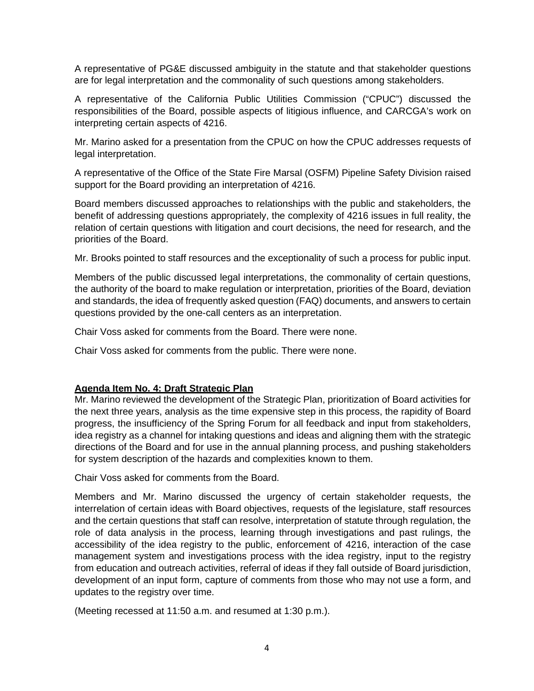A representative of PG&E discussed ambiguity in the statute and that stakeholder questions are for legal interpretation and the commonality of such questions among stakeholders.

A representative of the California Public Utilities Commission ("CPUC") discussed the responsibilities of the Board, possible aspects of litigious influence, and CARCGA's work on interpreting certain aspects of 4216.

Mr. Marino asked for a presentation from the CPUC on how the CPUC addresses requests of legal interpretation.

A representative of the Office of the State Fire Marsal (OSFM) Pipeline Safety Division raised support for the Board providing an interpretation of 4216.

Board members discussed approaches to relationships with the public and stakeholders, the benefit of addressing questions appropriately, the complexity of 4216 issues in full reality, the relation of certain questions with litigation and court decisions, the need for research, and the priorities of the Board.

Mr. Brooks pointed to staff resources and the exceptionality of such a process for public input.

Members of the public discussed legal interpretations, the commonality of certain questions, the authority of the board to make regulation or interpretation, priorities of the Board, deviation and standards, the idea of frequently asked question (FAQ) documents, and answers to certain questions provided by the one-call centers as an interpretation.

Chair Voss asked for comments from the Board. There were none.

Chair Voss asked for comments from the public. There were none.

## **Agenda Item No. 4: Draft Strategic Plan**

Mr. Marino reviewed the development of the Strategic Plan, prioritization of Board activities for the next three years, analysis as the time expensive step in this process, the rapidity of Board progress, the insufficiency of the Spring Forum for all feedback and input from stakeholders, idea registry as a channel for intaking questions and ideas and aligning them with the strategic directions of the Board and for use in the annual planning process, and pushing stakeholders for system description of the hazards and complexities known to them.

Chair Voss asked for comments from the Board.

Members and Mr. Marino discussed the urgency of certain stakeholder requests, the interrelation of certain ideas with Board objectives, requests of the legislature, staff resources and the certain questions that staff can resolve, interpretation of statute through regulation, the role of data analysis in the process, learning through investigations and past rulings, the accessibility of the idea registry to the public, enforcement of 4216, interaction of the case management system and investigations process with the idea registry, input to the registry from education and outreach activities, referral of ideas if they fall outside of Board jurisdiction, development of an input form, capture of comments from those who may not use a form, and updates to the registry over time.

(Meeting recessed at 11:50 a.m. and resumed at 1:30 p.m.).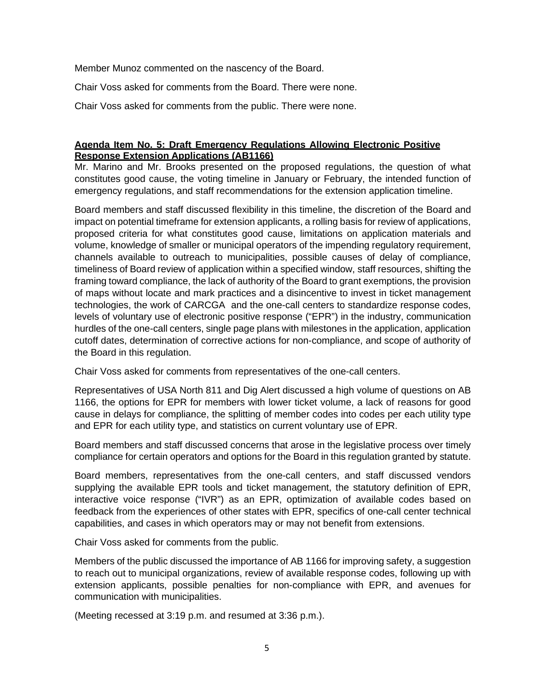Member Munoz commented on the nascency of the Board.

Chair Voss asked for comments from the Board. There were none.

Chair Voss asked for comments from the public. There were none.

# **Agenda Item No. 5: Draft Emergency Regulations Allowing Electronic Positive Response Extension Applications (AB1166)**

Mr. Marino and Mr. Brooks presented on the proposed regulations, the question of what constitutes good cause, the voting timeline in January or February, the intended function of emergency regulations, and staff recommendations for the extension application timeline.

Board members and staff discussed flexibility in this timeline, the discretion of the Board and impact on potential timeframe for extension applicants, a rolling basis for review of applications, proposed criteria for what constitutes good cause, limitations on application materials and volume, knowledge of smaller or municipal operators of the impending regulatory requirement, channels available to outreach to municipalities, possible causes of delay of compliance, timeliness of Board review of application within a specified window, staff resources, shifting the framing toward compliance, the lack of authority of the Board to grant exemptions, the provision of maps without locate and mark practices and a disincentive to invest in ticket management technologies, the work of CARCGA and the one-call centers to standardize response codes, levels of voluntary use of electronic positive response ("EPR") in the industry, communication hurdles of the one-call centers, single page plans with milestones in the application, application cutoff dates, determination of corrective actions for non-compliance, and scope of authority of the Board in this regulation.

Chair Voss asked for comments from representatives of the one-call centers.

Representatives of USA North 811 and Dig Alert discussed a high volume of questions on AB 1166, the options for EPR for members with lower ticket volume, a lack of reasons for good cause in delays for compliance, the splitting of member codes into codes per each utility type and EPR for each utility type, and statistics on current voluntary use of EPR.

Board members and staff discussed concerns that arose in the legislative process over timely compliance for certain operators and options for the Board in this regulation granted by statute.

Board members, representatives from the one-call centers, and staff discussed vendors supplying the available EPR tools and ticket management, the statutory definition of EPR, interactive voice response ("IVR") as an EPR, optimization of available codes based on feedback from the experiences of other states with EPR, specifics of one-call center technical capabilities, and cases in which operators may or may not benefit from extensions.

Chair Voss asked for comments from the public.

Members of the public discussed the importance of AB 1166 for improving safety, a suggestion to reach out to municipal organizations, review of available response codes, following up with extension applicants, possible penalties for non-compliance with EPR, and avenues for communication with municipalities.

(Meeting recessed at 3:19 p.m. and resumed at 3:36 p.m.).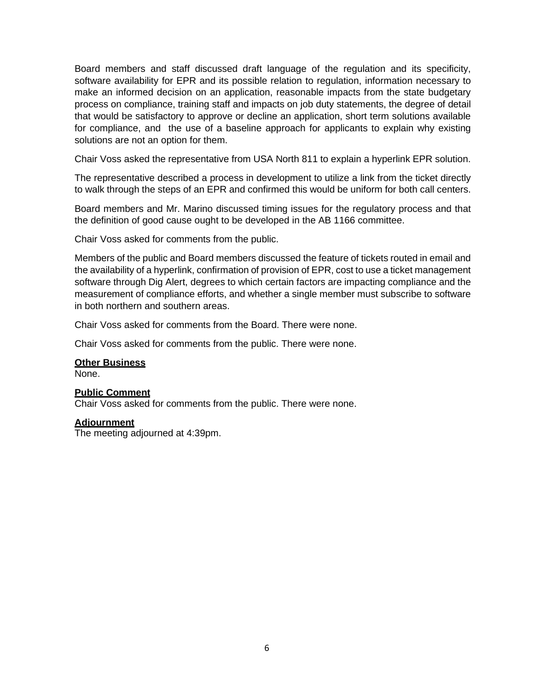Board members and staff discussed draft language of the regulation and its specificity, software availability for EPR and its possible relation to regulation, information necessary to make an informed decision on an application, reasonable impacts from the state budgetary process on compliance, training staff and impacts on job duty statements, the degree of detail that would be satisfactory to approve or decline an application, short term solutions available for compliance, and the use of a baseline approach for applicants to explain why existing solutions are not an option for them.

Chair Voss asked the representative from USA North 811 to explain a hyperlink EPR solution.

The representative described a process in development to utilize a link from the ticket directly to walk through the steps of an EPR and confirmed this would be uniform for both call centers.

Board members and Mr. Marino discussed timing issues for the regulatory process and that the definition of good cause ought to be developed in the AB 1166 committee.

Chair Voss asked for comments from the public.

Members of the public and Board members discussed the feature of tickets routed in email and the availability of a hyperlink, confirmation of provision of EPR, cost to use a ticket management software through Dig Alert, degrees to which certain factors are impacting compliance and the measurement of compliance efforts, and whether a single member must subscribe to software in both northern and southern areas.

Chair Voss asked for comments from the Board. There were none.

Chair Voss asked for comments from the public. There were none.

#### **Other Business**

None.

#### **Public Comment**

Chair Voss asked for comments from the public. There were none.

#### **Adjournment**

The meeting adjourned at 4:39pm.